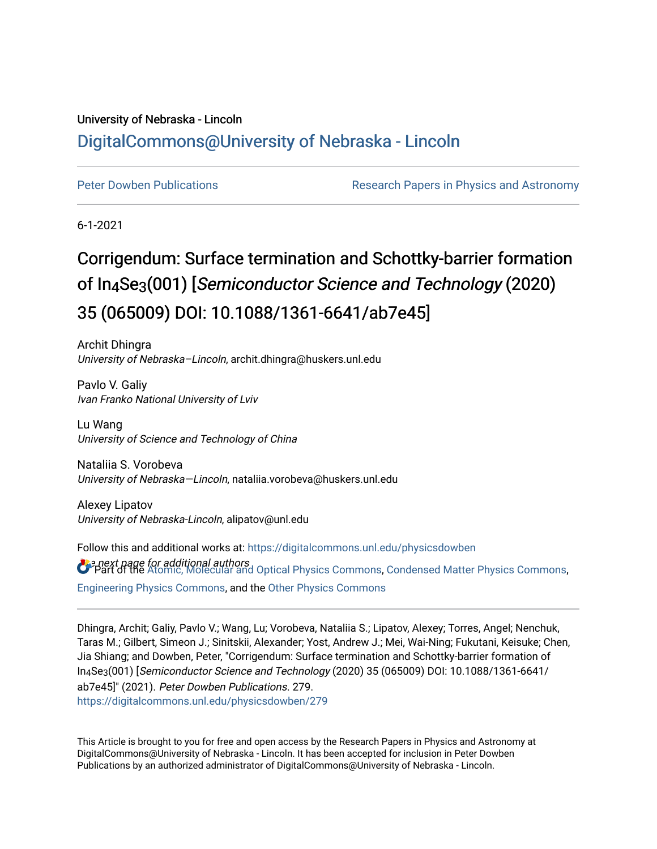### University of Nebraska - Lincoln [DigitalCommons@University of Nebraska - Lincoln](https://digitalcommons.unl.edu/)

[Peter Dowben Publications](https://digitalcommons.unl.edu/physicsdowben) **Research Papers in Physics and Astronomy** 

6-1-2021

## Corrigendum: Surface termination and Schottky-barrier formation of In4Se3(001) [Semiconductor Science and Technology (2020) 35 (065009) DOI: 10.1088/1361-6641/ab7e45]

Archit Dhingra University of Nebraska–Lincoln, archit.dhingra@huskers.unl.edu

Pavlo V. Galiy Ivan Franko National University of Lviv

Lu Wang University of Science and Technology of China

Nataliia S. Vorobeva University of Nebraska—Lincoln, nataliia.vorobeva@huskers.unl.edu

Alexey Lipatov University of Nebraska-Lincoln, alipatov@unl.edu

 $\bm{U}$  pext page for additional authors<br>O Part of the [Atomic, Molecular and Optical Physics Commons,](http://network.bepress.com/hgg/discipline/195?utm_source=digitalcommons.unl.edu%2Fphysicsdowben%2F279&utm_medium=PDF&utm_campaign=PDFCoverPages) [Condensed Matter Physics Commons](http://network.bepress.com/hgg/discipline/197?utm_source=digitalcommons.unl.edu%2Fphysicsdowben%2F279&utm_medium=PDF&utm_campaign=PDFCoverPages), Follow this and additional works at: [https://digitalcommons.unl.edu/physicsdowben](https://digitalcommons.unl.edu/physicsdowben?utm_source=digitalcommons.unl.edu%2Fphysicsdowben%2F279&utm_medium=PDF&utm_campaign=PDFCoverPages)  [Engineering Physics Commons,](http://network.bepress.com/hgg/discipline/200?utm_source=digitalcommons.unl.edu%2Fphysicsdowben%2F279&utm_medium=PDF&utm_campaign=PDFCoverPages) and the [Other Physics Commons](http://network.bepress.com/hgg/discipline/207?utm_source=digitalcommons.unl.edu%2Fphysicsdowben%2F279&utm_medium=PDF&utm_campaign=PDFCoverPages) 

Dhingra, Archit; Galiy, Pavlo V.; Wang, Lu; Vorobeva, Nataliia S.; Lipatov, Alexey; Torres, Angel; Nenchuk, Taras M.; Gilbert, Simeon J.; Sinitskii, Alexander; Yost, Andrew J.; Mei, Wai-Ning; Fukutani, Keisuke; Chen, Jia Shiang; and Dowben, Peter, "Corrigendum: Surface termination and Schottky-barrier formation of In4Se3(001) [Semiconductor Science and Technology (2020) 35 (065009) DOI: 10.1088/1361-6641/ ab7e45]" (2021). Peter Dowben Publications. 279. [https://digitalcommons.unl.edu/physicsdowben/279](https://digitalcommons.unl.edu/physicsdowben/279?utm_source=digitalcommons.unl.edu%2Fphysicsdowben%2F279&utm_medium=PDF&utm_campaign=PDFCoverPages) 

This Article is brought to you for free and open access by the Research Papers in Physics and Astronomy at DigitalCommons@University of Nebraska - Lincoln. It has been accepted for inclusion in Peter Dowben Publications by an authorized administrator of DigitalCommons@University of Nebraska - Lincoln.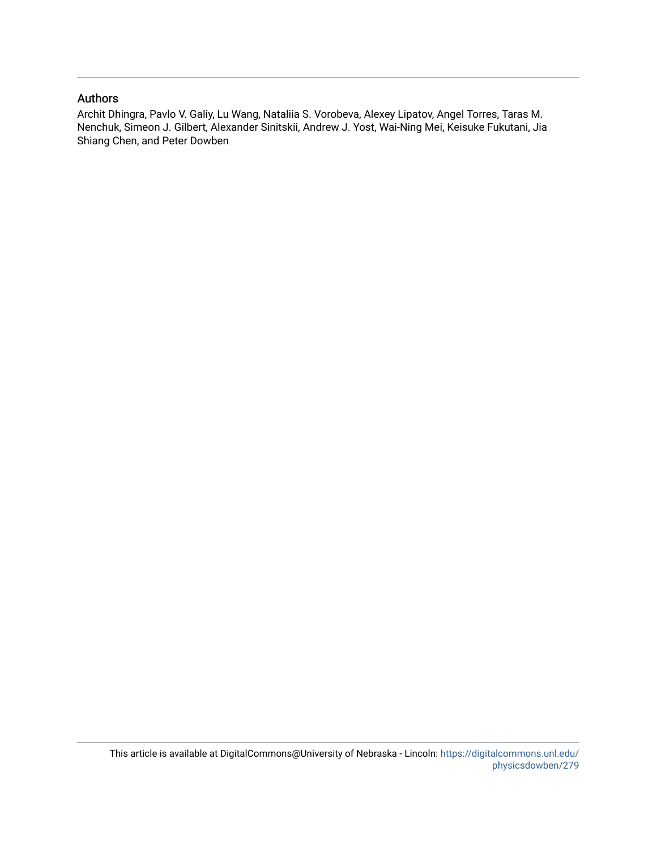#### Authors

Archit Dhingra, Pavlo V. Galiy, Lu Wang, Nataliia S. Vorobeva, Alexey Lipatov, Angel Torres, Taras M. Nenchuk, Simeon J. Gilbert, Alexander Sinitskii, Andrew J. Yost, Wai-Ning Mei, Keisuke Fukutani, Jia Shiang Chen, and Peter Dowben